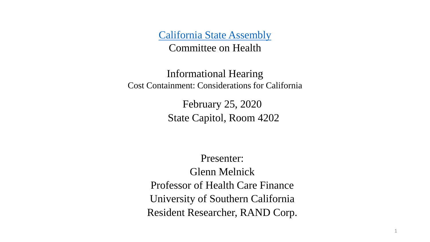[California State Assembly](https://www.assembly.ca.gov/) Committee on Health

Informational Hearing Cost Containment: Considerations for California

> February 25, 2020 State Capitol, Room 4202

Presenter: Glenn Melnick Professor of Health Care Finance University of Southern California Resident Researcher, RAND Corp.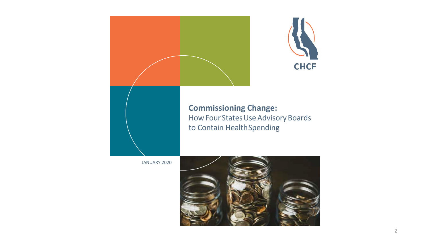

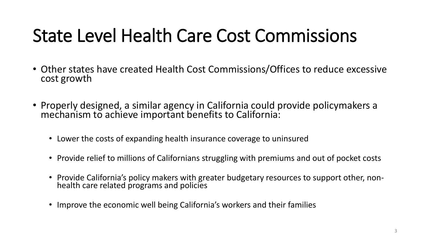## State Level Health Care Cost Commissions

- Other states have created Health Cost Commissions/Offices to reduce excessive cost growth
- Properly designed, a similar agency in California could provide policymakers a mechanism to achieve important benefits to California:
	- Lower the costs of expanding health insurance coverage to uninsured
	- Provide relief to millions of Californians struggling with premiums and out of pocket costs
	- Provide California's policy makers with greater budgetary resources to support other, nonhealth care related programs and policies
	- Improve the economic well being California's workers and their families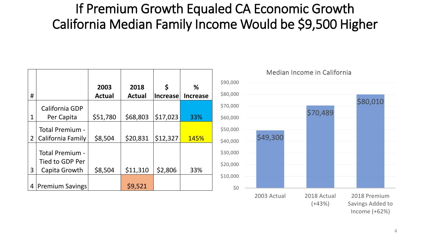#### If Premium Growth Equaled CA Economic Growth California Median Family Income Would be \$9,500 Higher

|                |                                    | 2003          | 2018          | \$              | %               |
|----------------|------------------------------------|---------------|---------------|-----------------|-----------------|
| #              |                                    | <b>Actual</b> | <b>Actual</b> | <b>Increase</b> | <b>Increase</b> |
|                | California GDP                     |               |               |                 |                 |
| 1              | Per Capita                         | \$51,780      | \$68,803      | \$17,023        | 33%             |
|                | Total Premium -                    |               |               |                 |                 |
| $\overline{2}$ | California Family                  | \$8,504       | \$20,831      | \$12,327        | <b>145%</b>     |
|                | Total Premium -<br>Tied to GDP Per |               |               |                 |                 |
| 3              | Capita Growth                      | \$8,504       | \$11,310      | \$2,806         | 33%             |
| 4              | <b>Premium Savings</b>             |               | \$9,521       |                 |                 |

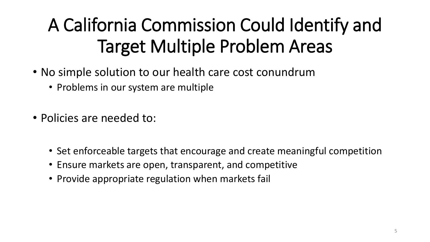## A California Commission Could Identify and Target Multiple Problem Areas

- No simple solution to our health care cost conundrum
	- Problems in our system are multiple
- Policies are needed to:
	- Set enforceable targets that encourage and create meaningful competition
	- Ensure markets are open, transparent, and competitive
	- Provide appropriate regulation when markets fail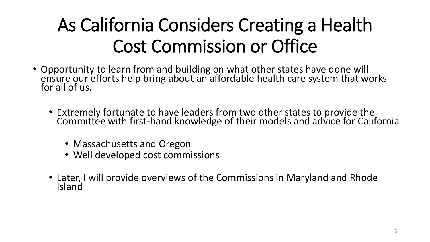## As California Considers Creating a Health Cost Commission or Office

- Opportunity to learn from and building on what other states have done will ensure our efforts help bring about an affordable health care system that works for all of us.
	- Extremely fortunate to have leaders from two other states to provide the Committee with first-hand knowledge of their models and advice for California
		- Massachusetts and Oregon
		- Well developed cost commissions
	- Later, I will provide overviews of the Commissions in Maryland and Rhode Island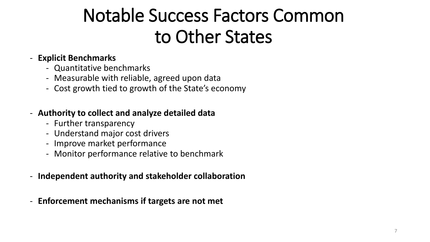## Notable Success Factors Common to Other States

#### - **Explicit Benchmarks**

- Quantitative benchmarks
- Measurable with reliable, agreed upon data
- Cost growth tied to growth of the State's economy

#### - **Authority to collect and analyze detailed data**

- Further transparency
- Understand major cost drivers
- Improve market performance
- Monitor performance relative to benchmark
- **Independent authority and stakeholder collaboration**
- **Enforcement mechanisms if targets are not met**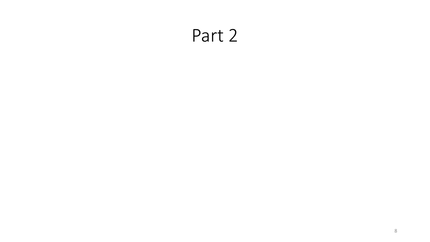#### Part 2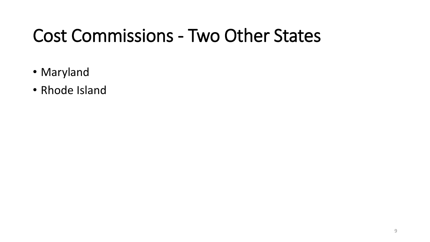## Cost Commissions - Two Other States

- Maryland
- Rhode Island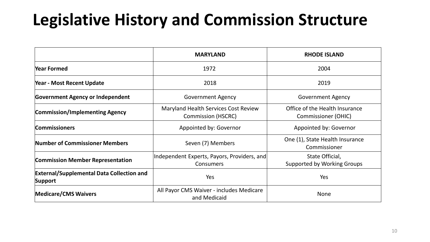### **Legislative History and Commission Structure**

|                                                             | <b>MARYLAND</b>                                                   | <b>RHODE ISLAND</b>                                          |  |
|-------------------------------------------------------------|-------------------------------------------------------------------|--------------------------------------------------------------|--|
| Year Formed                                                 | 1972                                                              | 2004                                                         |  |
| Year - Most Recent Update                                   | 2018                                                              | 2019                                                         |  |
| <b>Government Agency or Independent</b>                     | <b>Government Agency</b>                                          | <b>Government Agency</b>                                     |  |
| <b>Commission/Implementing Agency</b>                       | Maryland Health Services Cost Review<br><b>Commission (HSCRC)</b> | Office of the Health Insurance<br><b>Commissioner (OHIC)</b> |  |
| <b>Commissioners</b>                                        | Appointed by: Governor                                            | Appointed by: Governor                                       |  |
| Number of Commissioner Members                              | Seven (7) Members                                                 | One (1), State Health Insurance<br>Commissioner              |  |
| <b>Commission Member Representation</b>                     | Independent Experts, Payors, Providers, and<br><b>Consumers</b>   | State Official,<br>Supported by Working Groups               |  |
| <b>External/Supplemental Data Collection and</b><br>Support | Yes                                                               | Yes                                                          |  |
| <b>Medicare/CMS Waivers</b>                                 | All Payor CMS Waiver - includes Medicare<br>and Medicaid          | <b>None</b>                                                  |  |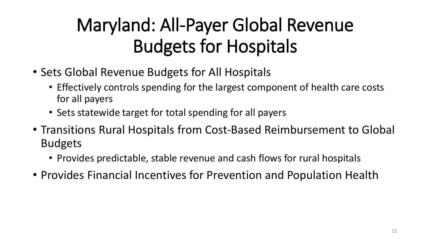## Maryland: All-Payer Global Revenue Budgets for Hospitals

- Sets Global Revenue Budgets for All Hospitals
	- Effectively controls spending for the largest component of health care costs for all payers
	- Sets statewide target for total spending for all payers
- Transitions Rural Hospitals from Cost-Based Reimbursement to Global Budgets
	- Provides predictable, stable revenue and cash flows for rural hospitals
- Provides Financial Incentives for Prevention and Population Health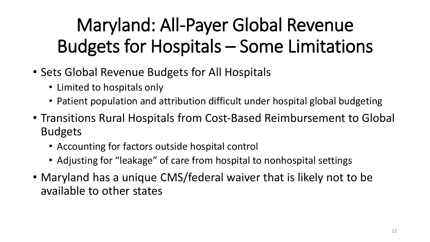# Maryland: All-Payer Global Revenue Budgets for Hospitals – Some Limitations

- Sets Global Revenue Budgets for All Hospitals
	- Limited to hospitals only
	- Patient population and attribution difficult under hospital global budgeting
- Transitions Rural Hospitals from Cost-Based Reimbursement to Global Budgets
	- Accounting for factors outside hospital control
	- Adjusting for "leakage" of care from hospital to nonhospital settings
- Maryland has a unique CMS/federal waiver that is likely not to be available to other states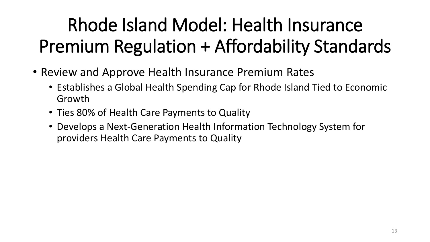# Rhode Island Model: Health Insurance Premium Regulation + Affordability Standards

- Review and Approve Health Insurance Premium Rates
	- Establishes a Global Health Spending Cap for Rhode Island Tied to Economic Growth
	- Ties 80% of Health Care Payments to Quality
	- Develops a Next-Generation Health Information Technology System for providers Health Care Payments to Quality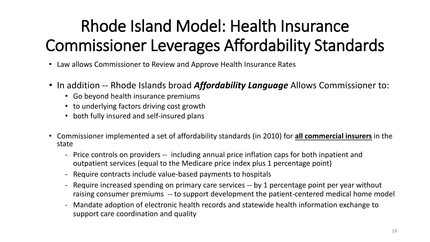## Rhode Island Model: Health Insurance Commissioner Leverages Affordability Standards

- Law allows Commissioner to Review and Approve Health Insurance Rates
- In addition -- Rhode Islands broad *Affordability Language* Allows Commissioner to:
	- Go beyond health insurance premiums
	- to underlying factors driving cost growth
	- both fully insured and self-insured plans
- Commissioner implemented a set of affordability standards (in 2010) for **all commercial insurers** in the state
	- Price controls on providers -- including annual price inflation caps for both inpatient and outpatient services (equal to the Medicare price index plus 1 percentage point)
	- Require contracts include value-based payments to hospitals
	- Require increased spending on primary care services -- by 1 percentage point per year without raising consumer premiums -- to support development the patient-centered medical home model
	- Mandate adoption of electronic health records and statewide health information exchange to support care coordination and quality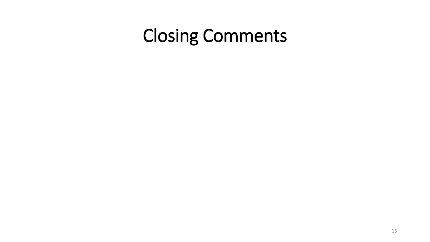## Closing Comments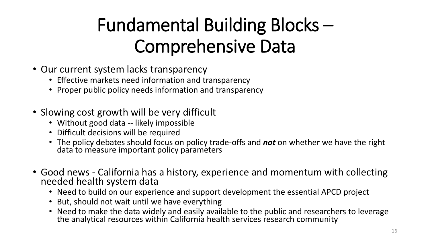## Fundamental Building Blocks – Comprehensive Data

- Our current system lacks transparency
	- Effective markets need information and transparency
	- Proper public policy needs information and transparency
- Slowing cost growth will be very difficult
	- Without good data -- likely impossible
	- Difficult decisions will be required
	- The policy debates should focus on policy trade-offs and *not* on whether we have the right data to measure important policy parameters
- Good news California has a history, experience and momentum with collecting needed health system data
	- Need to build on our experience and support development the essential APCD project
	- But, should not wait until we have everything
	- Need to make the data widely and easily available to the public and researchers to leverage the analytical resources within California health services research community